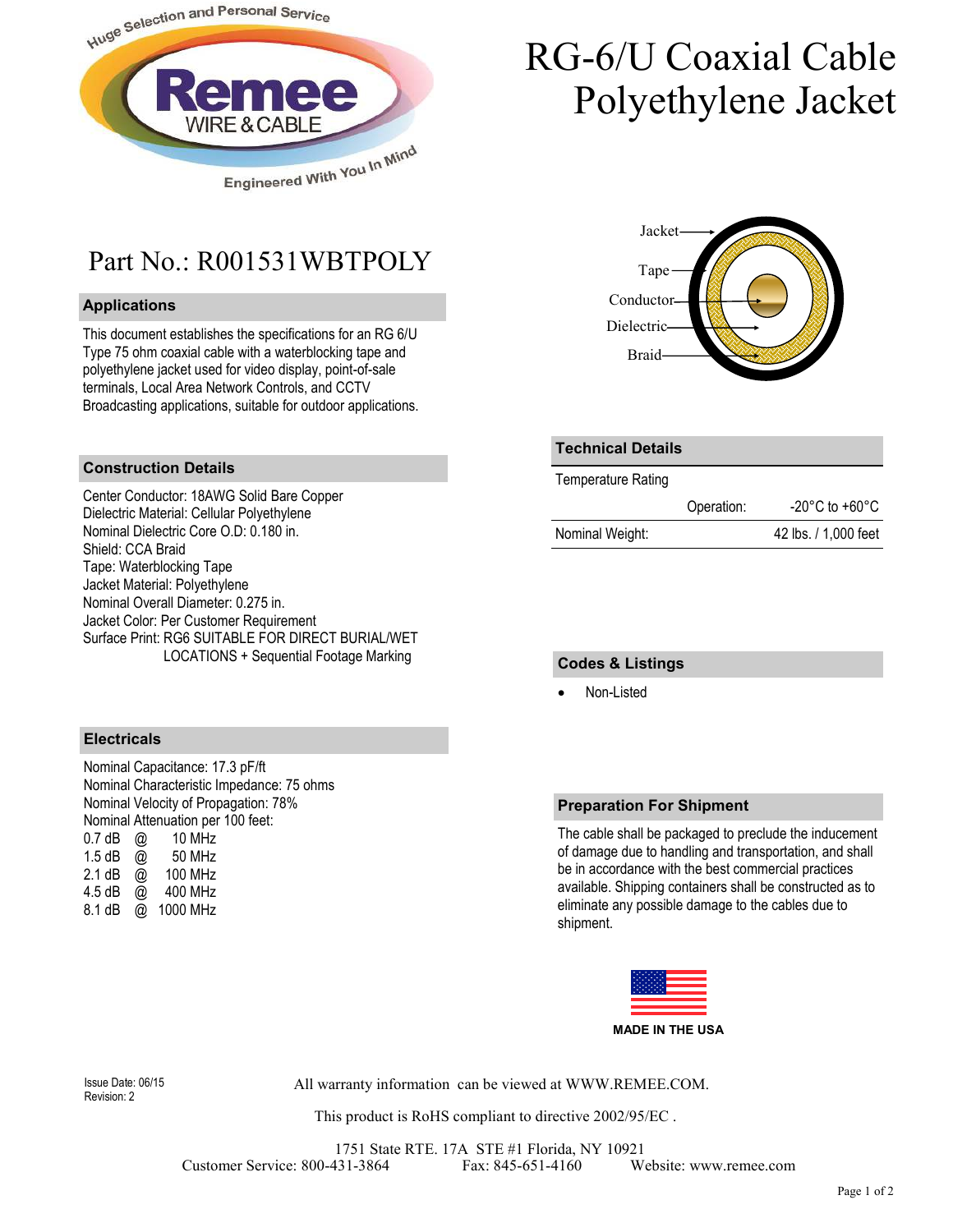

# RG-6/U Coaxial Cable Polyethylene Jacket

### Part No.: R001531WBTPOLY

#### **Applications**

This document establishes the specifications for an RG 6/U Type 75 ohm coaxial cable with a waterblocking tape and polyethylene jacket used for video display, point-of-sale terminals, Local Area Network Controls, and CCTV Broadcasting applications, suitable for outdoor applications.

#### **Construction Details**

Center Conductor: 18AWG Solid Bare Copper Dielectric Material: Cellular Polyethylene Nominal Dielectric Core O.D: 0.180 in. Shield: CCA Braid Tape: Waterblocking Tape Jacket Material: Polyethylene Nominal Overall Diameter: 0.275 in. Jacket Color: Per Customer Requirement Surface Print: RG6 SUITABLE FOR DIRECT BURIAL/WET LOCATIONS + Sequential Footage Marking



| <b>Technical Details</b> |            |                      |
|--------------------------|------------|----------------------|
| Temperature Rating       |            |                      |
|                          | Operation: | -20°C to +60°C       |
| Nominal Weight:          |            | 42 lbs. / 1,000 feet |

#### **Codes & Listings**

Non-Listed

#### **Electricals**

Nominal Capacitance: 17.3 pF/ft Nominal Characteristic Impedance: 75 ohms Nominal Velocity of Propagation: 78% Nominal Attenuation per 100 feet:<br>0.7 dB @ 10 MHz  $0.7$  dB  $\omega$ 1.5 dB  $\overline{Q}$  50 MHz 2.1 dB @ 100 MHz 4.5 dB @ 400 MHz 8.1 dB @ 1000 MHz

#### **Preparation For Shipment**

The cable shall be packaged to preclude the inducement of damage due to handling and transportation, and shall be in accordance with the best commercial practices available. Shipping containers shall be constructed as to eliminate any possible damage to the cables due to shipment.



Revision: 2

All warranty information can be viewed at WWW.REMEE.COM. Issue Date: 06/15

This product is RoHS compliant to directive 2002/95/EC .

1751 State RTE. 17A STE #1 Florida, NY 10921 Customer Service: 800-431-3864 Fax: 845-651-4160 Website: www.remee.com